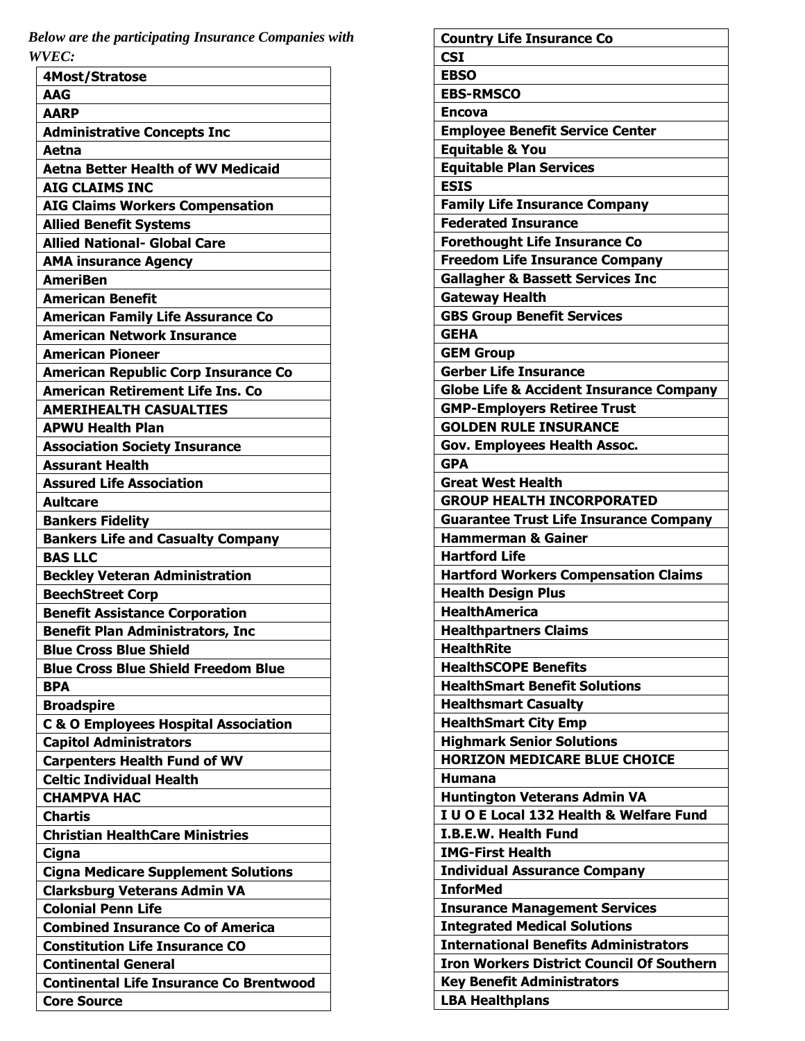*Below are the participating Insurance Companies with WVEC:*

| 4Most/Stratose                                  |
|-------------------------------------------------|
| <b>AAG</b>                                      |
| <b>AARP</b>                                     |
| <b>Administrative Concepts Inc</b>              |
| Aetna                                           |
| <b>Aetna Better Health of WV Medicaid</b>       |
| <b>AIG CLAIMS INC</b>                           |
| <b>AIG Claims Workers Compensation</b>          |
| <b>Allied Benefit Systems</b>                   |
| <b>Allied National- Global Care</b>             |
| <b>AMA insurance Agency</b>                     |
| <b>AmeriBen</b>                                 |
| <b>American Benefit</b>                         |
| <b>American Family Life Assurance Co</b>        |
| <b>American Network Insurance</b>               |
| <b>American Pioneer</b>                         |
| <b>American Republic Corp Insurance Co</b>      |
| <b>American Retirement Life Ins. Co</b>         |
| <b>AMERIHEALTH CASUALTIES</b>                   |
| <b>APWU Health Plan</b>                         |
| <b>Association Society Insurance</b>            |
| <b>Assurant Health</b>                          |
| <b>Assured Life Association</b>                 |
|                                                 |
| <b>Aultcare</b>                                 |
| <b>Bankers Fidelity</b>                         |
| <b>Bankers Life and Casualty Company</b>        |
| <b>BAS LLC</b>                                  |
| <b>Beckley Veteran Administration</b>           |
| <b>BeechStreet Corp</b>                         |
| <b>Benefit Assistance Corporation</b>           |
| <b>Benefit Plan Administrators, Inc</b>         |
| <b>Blue Cross Blue Shield</b>                   |
| <b>Blue Cross Blue Shield Freedom Blue</b>      |
| <b>BPA</b>                                      |
| <b>Broadspire</b>                               |
| <b>C &amp; O Employees Hospital Association</b> |
| <b>Capitol Administrators</b>                   |
| <b>Carpenters Health Fund of WV</b>             |
| <b>Celtic Individual Health</b>                 |
| <b>CHAMPVA HAC</b>                              |
| <b>Chartis</b>                                  |
| <b>Christian HealthCare Ministries</b>          |
| Cigna                                           |
| <b>Cigna Medicare Supplement Solutions</b>      |
| <b>Clarksburg Veterans Admin VA</b>             |
| <b>Colonial Penn Life</b>                       |
| <b>Combined Insurance Co of America</b>         |
| <b>Constitution Life Insurance CO</b>           |
| <b>Continental General</b>                      |
| <b>Continental Life Insurance Co Brentwood</b>  |
| <b>Core Source</b>                              |
|                                                 |

| <b>Country Life Insurance Co</b>                   |
|----------------------------------------------------|
| <b>CSI</b>                                         |
| <b>EBSO</b>                                        |
| <b>EBS-RMSCO</b>                                   |
| <b>Encova</b>                                      |
| <b>Employee Benefit Service Center</b>             |
| <b>Equitable &amp; You</b>                         |
| <b>Equitable Plan Services</b>                     |
| <b>ESIS</b>                                        |
| <b>Family Life Insurance Company</b>               |
| <b>Federated Insurance</b>                         |
| <b>Forethought Life Insurance Co</b>               |
| <b>Freedom Life Insurance Company</b>              |
| <b>Gallagher &amp; Bassett Services Inc</b>        |
| <b>Gateway Health</b>                              |
| <b>GBS Group Benefit Services</b>                  |
| <b>GEHA</b>                                        |
| <b>GEM Group</b>                                   |
| <b>Gerber Life Insurance</b>                       |
| <b>Globe Life &amp; Accident Insurance Company</b> |
| <b>GMP-Employers Retiree Trust</b>                 |
| <b>GOLDEN RULE INSURANCE</b>                       |
| <b>Gov. Employees Health Assoc.</b>                |
| <b>GPA</b>                                         |
| <b>Great West Health</b>                           |
| <b>GROUP HEALTH INCORPORATED</b>                   |
| <b>Guarantee Trust Life Insurance Company</b>      |
| <b>Hammerman &amp; Gainer</b>                      |
| <b>Hartford Life</b>                               |
| <b>Hartford Workers Compensation Claims</b>        |
| <b>Health Design Plus</b>                          |
| <b>HealthAmerica</b>                               |
| <b>Healthpartners Claims</b>                       |
| <b>HealthRite</b>                                  |
| <b>HealthSCOPE Benefits</b>                        |
| <b>HealthSmart Benefit Solutions</b>               |
| <b>Healthsmart Casualty</b>                        |
| <b>HealthSmart City Emp</b>                        |
| <b>Highmark Senior Solutions</b>                   |
| <b>HORIZON MEDICARE BLUE CHOICE</b>                |
| <b>Humana</b>                                      |
| <b>Huntington Veterans Admin VA</b>                |
| I U O E Local 132 Health & Welfare Fund            |
| <b>I.B.E.W. Health Fund</b>                        |
| <b>IMG-First Health</b>                            |
| <b>Individual Assurance Company</b>                |
| <b>InforMed</b>                                    |
| <b>Insurance Management Services</b>               |
| <b>Integrated Medical Solutions</b>                |
| <b>International Benefits Administrators</b>       |
| <b>Iron Workers District Council Of Southern</b>   |
| <b>Key Benefit Administrators</b>                  |
| <b>LBA Healthplans</b>                             |
|                                                    |